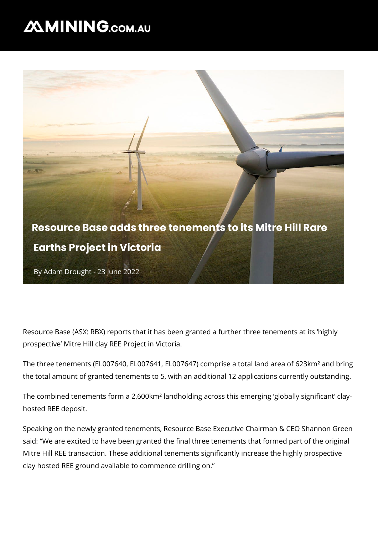## **MMINING.COM.AU**



Resource Base (ASX: RBX) reports that it has been granted a further three tenements at its 'highly prospective' Mitre Hill clay REE Project in Victoria.

The three tenements (EL007640, EL007641, EL007647) comprise a total land area of 623km² and bring the total amount of granted tenements to 5, with an additional 12 applications currently outstanding.

The combined tenements form a 2,600km² landholding across this emerging 'globally significant' clayhosted REE deposit.

Speaking on the newly granted tenements, Resource Base Executive Chairman & CEO Shannon Green said: "We are excited to have been granted the final three tenements that formed part of the original Mitre Hill REE transaction. These additional tenements significantly increase the highly prospective clay hosted REE ground available to commence drilling on."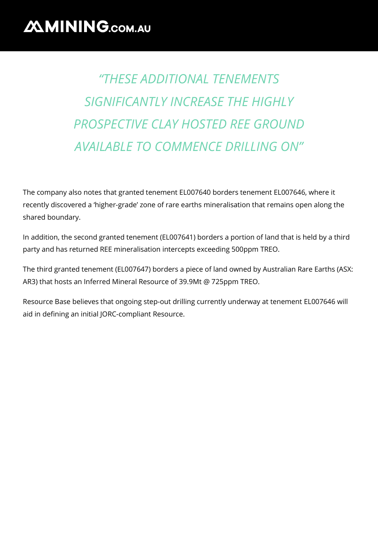## *"THESE ADDITIONAL TENEMENTS SIGNIFICANTLY INCREASE THE HIGHLY PROSPECTIVE CLAY HOSTED REE GROUND AVAILABLE TO COMMENCE DRILLING ON"*

The company also notes that granted tenement EL007640 borders tenement EL007646, where it recently discovered a 'higher-grade' zone of rare earths mineralisation that remains open along the shared boundary.

In addition, the second granted tenement (EL007641) borders a portion of land that is held by a third party and has returned REE mineralisation intercepts exceeding 500ppm TREO.

The third granted tenement (EL007647) borders a piece of land owned by Australian Rare Earths (ASX: AR3) that hosts an Inferred Mineral Resource of 39.9Mt @ 725ppm TREO.

Resource Base believes that ongoing step-out drilling currently underway at tenement EL007646 will aid in defining an initial JORC-compliant Resource.